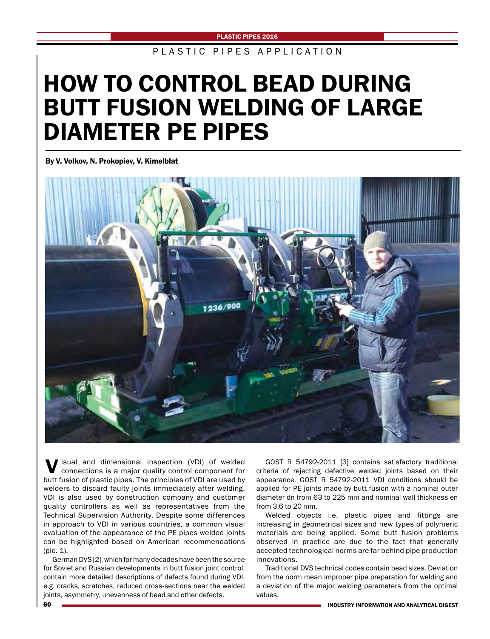PLASTIC PIPES APPLICATION

# HOW TO CONTROL BEAD DURING BUTT FUSION WELDING OF LARGE DIAMETER PE PIPES

By V. Volkov, N. Prokopiev, V. Kimelblat



Visual and dimensional inspection (VDI) of welded connections is a major quality control component for butt fusion of plastic pipes. The principles of VDI are used by welders to discard faulty joints immediately after welding. VDI is also used by construction company and customer quality controllers as well as representatives from the Technical Supervision Authority. Despite some differences in approach to VDI in various countries, a common visual evaluation of the appearance of the PE pipes welded joints can be highlighted based on American recommendations (pic. 1).

German DVS [2], which for many decades have been the source for Soviet and Russian developments in butt fusion joint control, contain more detailed descriptions of defects found during VDI, e.g. cracks, scratches, reduced cross-sections near the welded joints, asymmetry, unevenness of bead and other defects.

GOST R 54792-2011 [3] contains satisfactory traditional criteria of rejecting defective welded joints based on their appearance. GOST R 54792-2011 VDI conditions should be applied for PE joints made by butt fusion with a nominal outer diameter dn from 63 to 225 mm and nominal wall thickness en from 3.6 to 20 mm.

Welded objects i.e. plastic pipes and fittings are increasing in geometrical sizes and new types of polymeric materials are being applied. Some butt fusion problems observed in practice are due to the fact that generally accepted technological norms are far behind pipe production innovations.

Traditional DVS technical codes contain bead sizes. Deviation from the norm mean improper pipe preparation for welding and a deviation of the major welding parameters from the optimal values.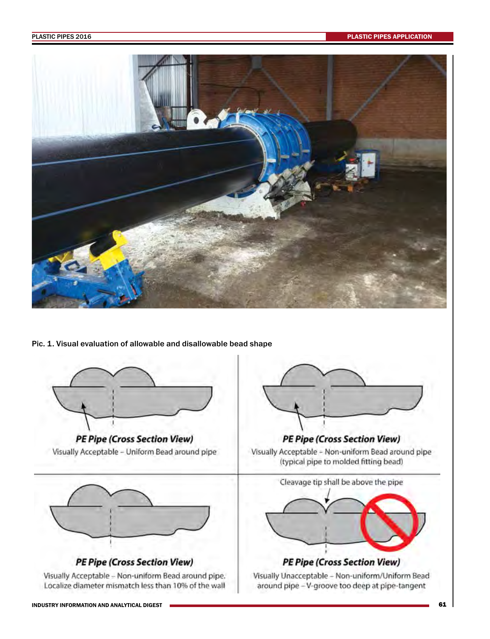

Pic. 1. Visual evaluation of allowable and disallowable bead shape



**PE Pipe (Cross Section View)** Visually Acceptable - Uniform Bead around pipe



**PE Pipe (Cross Section View)** 

Visually Acceptable - Non-uniform Bead around pipe. Localize diameter mismatch less than 10% of the wall



Visually Acceptable - Non-uniform Bead around pipe (typical pipe to molded fitting bead)



Visually Unacceptable - Non-uniform/Uniform Bead around pipe - V-groove too deep at pipe-tangent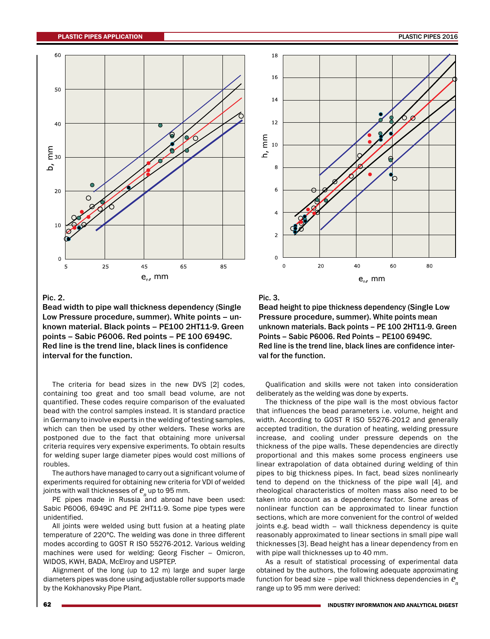

### Pic. 2.

Bead width to pipe wall thickness dependency (Single Low Pressure procedure, summer). White points – unknown material. Black points – PE100 2НТ11-9. Green points – Sabic P6006. Red points – PE 100 6949С. Red line is the trend line, black lines is confidence interval for the function.

The criteria for bead sizes in the new DVS [2] codes, containing too great and too small bead volume, are not quantified. These codes require comparison of the evaluated bead with the control samples instead. It is standard practice in Germany to involve experts in the welding of testing samples, which can then be used by other welders. These works are postponed due to the fact that obtaining more universal criteria requires very expensive experiments. To obtain results for welding super large diameter pipes would cost millions of roubles.

The authors have managed to carry out a significant volume of experiments required for obtaining new criteria for VDI of welded joints with wall thicknesses of  $e_{n}$  up to 95 mm.

PE pipes made in Russia and abroad have been used: Sabic P6006, 6949C and PE 2HT11-9. Some pipe types were unidentified.

All joints were welded using butt fusion at a heating plate temperature of 220°С. The welding was done in three different modes according to GOST R ISO 55276-2012. Various welding machines were used for welding: Georg Fischer – Omicron, WIDOS, KWH, BADA, McElroy and USPTEP.

Alignment of the long (up to 12 m) large and super large diameters pipes was done using adjustable roller supports made by the Kokhanovsky Pipe Plant.



### Pic. 3.

Bead height to pipe thickness dependency (Single Low Pressure procedure, summer). White points mean unknown materials. Back points - PE 100 2HT11-9. Green Points – Sabic P6006. Red Points – PE100 6949С. Red line is the trend line, black lines are confidence interval for the function.

Qualification and skills were not taken into consideration deliberately as the welding was done by experts.

The thickness of the pipe wall is the most obvious factor that influences the bead parameters i.e. volume, height and width. According to GOST R ISO 55276-2012 and generally accepted tradition, the duration of heating, welding pressure increase, and cooling under pressure depends on the thickness of the pipe walls. These dependencies are directly proportional and this makes some process engineers use linear extrapolation of data obtained during welding of thin pipes to big thickness pipes. In fact, bead sizes nonlinearly tend to depend on the thickness of the pipe wall [4], and rheological characteristics of molten mass also need to be taken into account as a dependency factor. Some areas of nonlinear function can be approximated to linear function sections, which are more convenient for the control of welded joints e.g. bead width – wall thickness dependency is quite reasonably approximated to linear sections in small pipe wall thicknesses [3]. Bead height has a linear dependency from en with pipe wall thicknesses up to 40 mm.

As a result of statistical processing of experimental data obtained by the authors, the following adequate approximating function for bead size – pipe wall thickness dependencies in  $e_n$ range up to 95 mm were derived: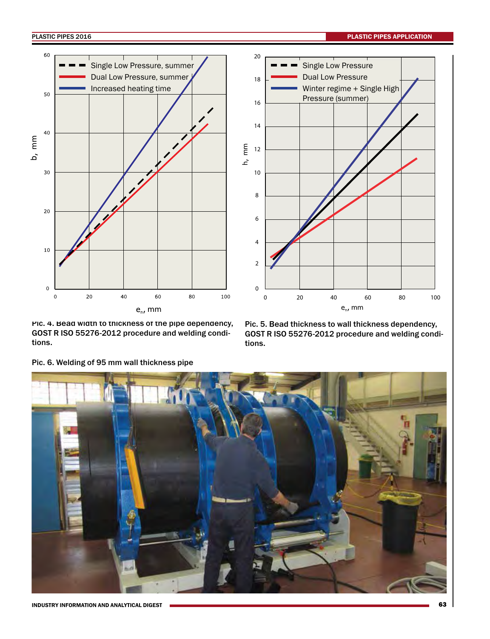PLASTIC PIPES 2016 PLASTIC PIPES 2016





PIC. 4. Bead width to thickness of the pipe dependency, GOST R ISO 55276-2012 procedure and welding conditions.

Pic. 5. Bead thickness to wall thickness dependency, GOST R ISO 55276-2012 procedure and welding conditions.



Pic. 6. Welding of 95 mm wall thickness pipe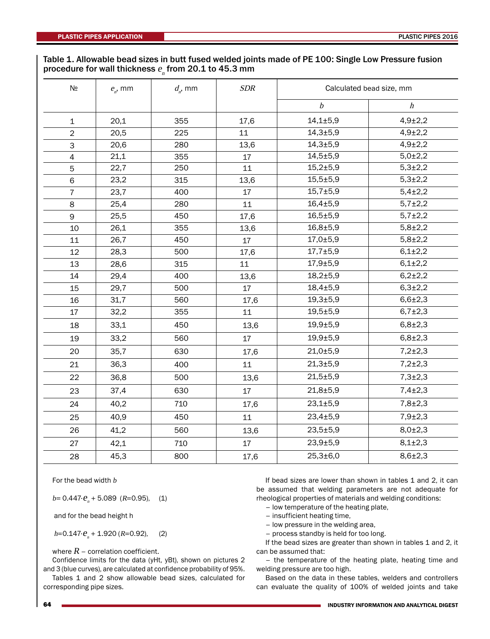# Table 1. Allowable bead sizes in butt fused welded joints made of PE 100: Single Low Pressure fusion procedure for wall thickness  $e_{\stackrel{.}{n}}$  from 20.1 to 45.3 mm

| $N$ 2          | $e_{n}$ , mm | $d_{n}$ , mm | <b>SDR</b> | Calculated bead size, mm |                  |
|----------------|--------------|--------------|------------|--------------------------|------------------|
|                |              |              |            | $\boldsymbol{b}$         | $\boldsymbol{h}$ |
| $\mathbf{1}$   | 20,1         | 355          | 17,6       | $14,1{\pm}5,9$           | $4,9{\pm}2,2$    |
| $\overline{2}$ | 20,5         | 225          | 11         | $14,3 + 5,9$             | $4,9{\pm}2,2$    |
| 3              | 20,6         | 280          | 13,6       | $14,3{\pm}5,9$           | $4,9{\pm}2,2$    |
| 4              | 21,1         | 355          | 17         | $14,5 \pm 5,9$           | $5,0{\pm}2,2$    |
| 5              | 22,7         | 250          | 11         | $15,2{\pm}5,9$           | $5,3{\pm}2,2$    |
| 6              | 23,2         | 315          | 13,6       | $15,5 + 5,9$             | $5,3{\pm}2,2$    |
| $\overline{7}$ | 23,7         | 400          | 17         | $15,7 \pm 5,9$           | $5,4\pm2,2$      |
| 8              | 25,4         | 280          | 11         | $16,4{\pm}5,9$           | $5,7\pm2,2$      |
| 9              | 25,5         | 450          | 17,6       | $16,5 \pm 5,9$           | $5,7{\pm}2,2$    |
| 10             | 26,1         | 355          | 13,6       | $16,8 + 5,9$             | $5,8{\pm}2,2$    |
| 11             | 26,7         | 450          | 17         | 17,0±5,9                 | $5,8{\pm}2,2$    |
| 12             | 28,3         | 500          | 17,6       | $17,7 \pm 5,9$           | $6,1{\pm}2,2$    |
| 13             | 28,6         | 315          | 11         | $17,9 + 5,9$             | $6,1{\pm}2,2$    |
| 14             | 29,4         | 400          | 13,6       | $18,2{\pm}5,9$           | $6,2{\pm}2,2$    |
| 15             | 29,7         | 500          | 17         | $18,4 + 5,9$             | $6,3{\pm}2,2$    |
| 16             | 31,7         | 560          | 17,6       | $19,3{\pm}5,9$           | $6,6{\pm}2,3$    |
| 17             | 32,2         | 355          | 11         | $19,5 \pm 5,9$           | $6,7{\pm}2,3$    |
| 18             | 33,1         | 450          | 13,6       | $19,9{\pm}5,9$           | $6,8{\pm}2,3$    |
| 19             | 33,2         | 560          | 17         | $19,9 + 5,9$             | $6,8{\pm}2,3$    |
| 20             | 35,7         | 630          | 17,6       | 21,0±5,9                 | $7,2{\pm}2,3$    |
| 21             | 36,3         | 400          | 11         | $21,3 + 5,9$             | $7,2{\pm}2,3$    |
| 22             | 36,8         | 500          | 13,6       | $21,5 \pm 5,9$           | $7,3{\pm}2,3$    |
| 23             | 37,4         | 630          | 17         | $21,8 + 5,9$             | $7,4+2,3$        |
| 24             | 40,2         | 710          | 17,6       | $23,1 \pm 5,9$           | $7,8 \pm 2,3$    |
| 25             | 40,9         | 450          | 11         | $23,4 \pm 5,9$           | $7,9{\pm}2,3$    |
| 26             | 41,2         | 560          | 13,6       | $23,5 \pm 5,9$           | $8,0{\pm}2,3$    |
| 27             | 42,1         | 710          | 17         | $23,9{\pm}5,9$           | $8,1\pm2,3$      |
| 28             | 45,3         | 800          | 17,6       | $25,3 \pm 6,0$           | $8,6{\pm}2,3$    |

For the bead width  $b$ 

 $b= 0.447 \tcdot \t\mathcal{C}_n + 5.089$  (R=0.95), (1)

and for the bead height h

 $h$ =0.147· $e_{n}$  + 1.920 (R=0.92), (2)

where  $R$  – correlation coefficient.

Confidence limits for the data (уНt, yBt), shown on pictures 2 and 3 (blue curves), are calculated at confidence probability of 95%.

Tables 1 and 2 show allowable bead sizes, calculated for corresponding pipe sizes.

If bead sizes are lower than shown in tables 1 and 2, it can be assumed that welding parameters are not adequate for rheological properties of materials and welding conditions:

- low temperature of the heating plate,
- insufficient heating time,
- low pressure in the welding area,
- process standby is held for too long.

If the bead sizes are greater than shown in tables 1 and 2, it can be assumed that:

– the temperature of the heating plate, heating time and welding pressure are too high.

Based on the data in these tables, welders and controllers can evaluate the quality of 100% of welded joints and take